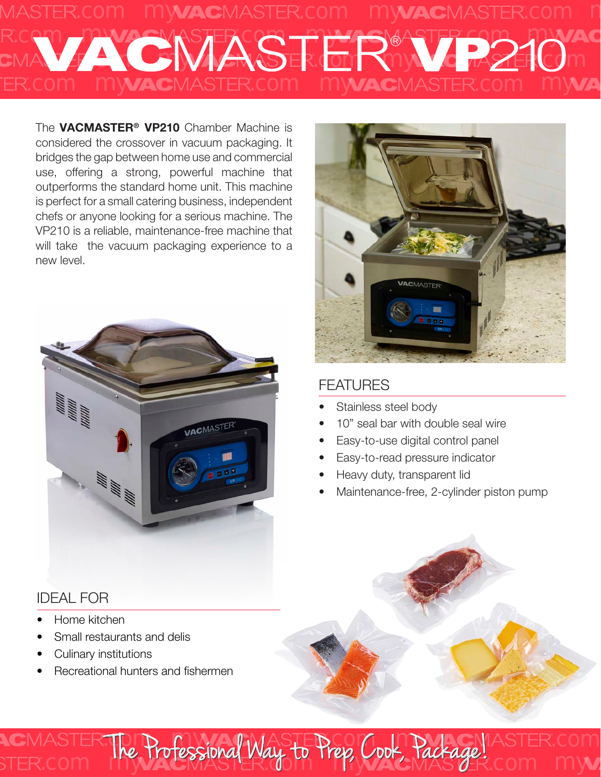# LCOM MYVACMASTER.COM MYVACMASTER.COM h LCOM MY ANDERCO THANS CATER COR JAK AC MASE .com COM MYACMASTER.com my **& R2210**m my **AC**MASTER.com my

The **VACMASTER<sup>®</sup> VP210** Chamber Machine is considered the crossover in vacuum packaging. It bridges the gap between home use and commercial use, offering a strong, powerful machine that outperforms the standard home unit. This machine is perfect for a small catering business, independent chefs or anyone looking for a serious machine. The VP210 is a reliable, maintenance-free machine that will take the vacuum packaging experience to a new level.



# FEATURES

- Stainless steel body
- 10" seal bar with double seal wire
- Easy-to-use digital control panel
- Easy-to-read pressure indicator
- Heavy duty, transparent lid
- Maintenance-free, 2-cylinder piston pump

**MACHASTER.com** 

ep, Cook, Tackage! Com my

# IDEAL FOR

- Home kitchen
- Small restaurants and delis
- Culinary institutions
- Recreational hunters and fishermen

com **The Trotessional Way to** 

The Professional Way to Press C

The Professional Way to Prep, Cook, Package!